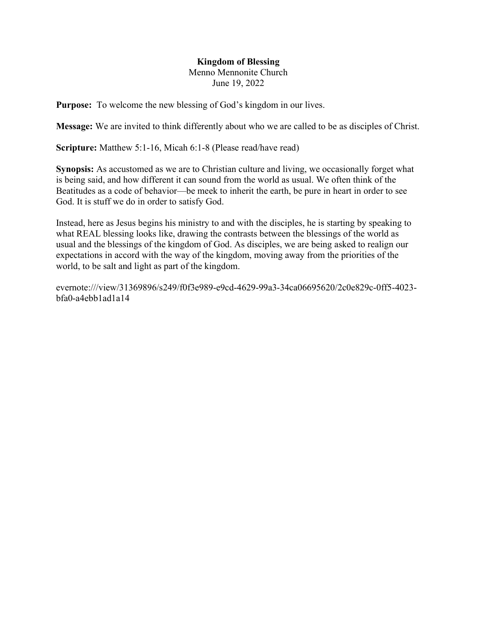## Kingdom of Blessing Menno Mennonite Church June 19, 2022

Purpose: To welcome the new blessing of God's kingdom in our lives.

Message: We are invited to think differently about who we are called to be as disciples of Christ.

Scripture: Matthew 5:1-16, Micah 6:1-8 (Please read/have read)

Synopsis: As accustomed as we are to Christian culture and living, we occasionally forget what is being said, and how different it can sound from the world as usual. We often think of the Beatitudes as a code of behavior—be meek to inherit the earth, be pure in heart in order to see God. It is stuff we do in order to satisfy God.

Instead, here as Jesus begins his ministry to and with the disciples, he is starting by speaking to what REAL blessing looks like, drawing the contrasts between the blessings of the world as usual and the blessings of the kingdom of God. As disciples, we are being asked to realign our expectations in accord with the way of the kingdom, moving away from the priorities of the world, to be salt and light as part of the kingdom.

evernote:///view/31369896/s249/f0f3e989-e9cd-4629-99a3-34ca06695620/2c0e829c-0ff5-4023 bfa0-a4ebb1ad1a14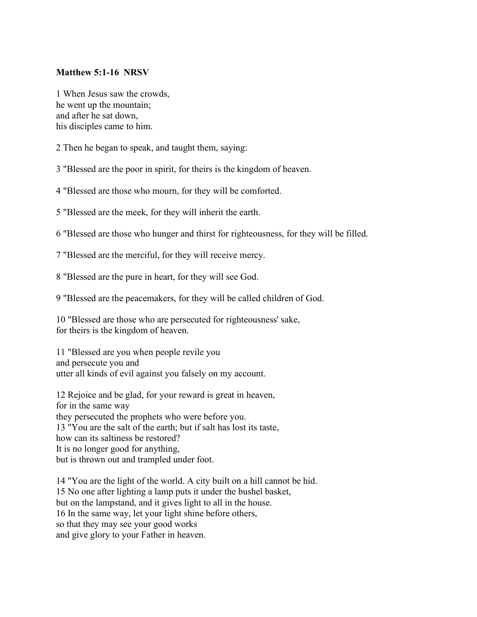## Matthew 5:1-16 NRSV

1 When Jesus saw the crowds, he went up the mountain; and after he sat down, his disciples came to him.

2 Then he began to speak, and taught them, saying:

3 "Blessed are the poor in spirit, for theirs is the kingdom of heaven.

4 "Blessed are those who mourn, for they will be comforted.

5 "Blessed are the meek, for they will inherit the earth.

6 "Blessed are those who hunger and thirst for righteousness, for they will be filled.

7 "Blessed are the merciful, for they will receive mercy.

8 "Blessed are the pure in heart, for they will see God.

9 "Blessed are the peacemakers, for they will be called children of God.

10 "Blessed are those who are persecuted for righteousness' sake, for theirs is the kingdom of heaven.

11 "Blessed are you when people revile you and persecute you and utter all kinds of evil against you falsely on my account.

12 Rejoice and be glad, for your reward is great in heaven, for in the same way they persecuted the prophets who were before you. 13 "You are the salt of the earth; but if salt has lost its taste, how can its saltiness be restored? It is no longer good for anything, but is thrown out and trampled under foot.

14 "You are the light of the world. A city built on a hill cannot be hid. 15 No one after lighting a lamp puts it under the bushel basket, but on the lampstand, and it gives light to all in the house. 16 In the same way, let your light shine before others, so that they may see your good works and give glory to your Father in heaven.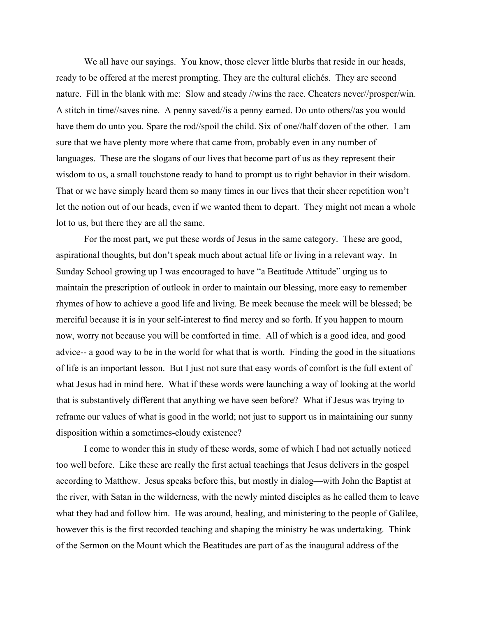We all have our sayings. You know, those clever little blurbs that reside in our heads, ready to be offered at the merest prompting. They are the cultural clichés. They are second nature. Fill in the blank with me: Slow and steady //wins the race. Cheaters never//prosper/win. A stitch in time//saves nine. A penny saved//is a penny earned. Do unto others//as you would have them do unto you. Spare the rod//spoil the child. Six of one//half dozen of the other. I am sure that we have plenty more where that came from, probably even in any number of languages. These are the slogans of our lives that become part of us as they represent their wisdom to us, a small touchstone ready to hand to prompt us to right behavior in their wisdom. That or we have simply heard them so many times in our lives that their sheer repetition won't let the notion out of our heads, even if we wanted them to depart. They might not mean a whole lot to us, but there they are all the same.

 For the most part, we put these words of Jesus in the same category. These are good, aspirational thoughts, but don't speak much about actual life or living in a relevant way. In Sunday School growing up I was encouraged to have "a Beatitude Attitude" urging us to maintain the prescription of outlook in order to maintain our blessing, more easy to remember rhymes of how to achieve a good life and living. Be meek because the meek will be blessed; be merciful because it is in your self-interest to find mercy and so forth. If you happen to mourn now, worry not because you will be comforted in time. All of which is a good idea, and good advice-- a good way to be in the world for what that is worth. Finding the good in the situations of life is an important lesson. But I just not sure that easy words of comfort is the full extent of what Jesus had in mind here. What if these words were launching a way of looking at the world that is substantively different that anything we have seen before? What if Jesus was trying to reframe our values of what is good in the world; not just to support us in maintaining our sunny disposition within a sometimes-cloudy existence?

 I come to wonder this in study of these words, some of which I had not actually noticed too well before. Like these are really the first actual teachings that Jesus delivers in the gospel according to Matthew. Jesus speaks before this, but mostly in dialog—with John the Baptist at the river, with Satan in the wilderness, with the newly minted disciples as he called them to leave what they had and follow him. He was around, healing, and ministering to the people of Galilee, however this is the first recorded teaching and shaping the ministry he was undertaking. Think of the Sermon on the Mount which the Beatitudes are part of as the inaugural address of the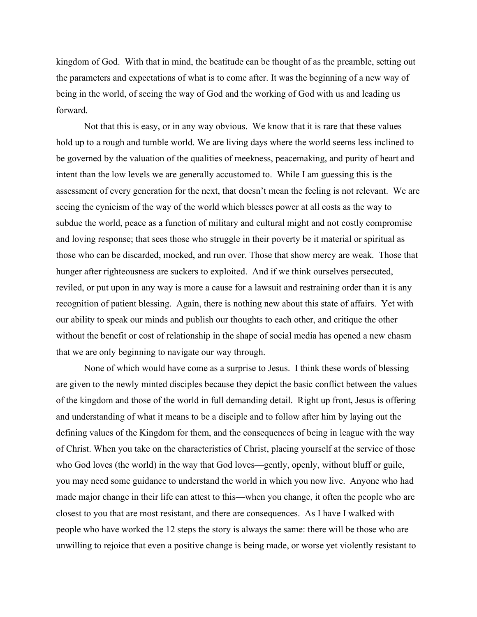kingdom of God. With that in mind, the beatitude can be thought of as the preamble, setting out the parameters and expectations of what is to come after. It was the beginning of a new way of being in the world, of seeing the way of God and the working of God with us and leading us forward.

 Not that this is easy, or in any way obvious. We know that it is rare that these values hold up to a rough and tumble world. We are living days where the world seems less inclined to be governed by the valuation of the qualities of meekness, peacemaking, and purity of heart and intent than the low levels we are generally accustomed to. While I am guessing this is the assessment of every generation for the next, that doesn't mean the feeling is not relevant. We are seeing the cynicism of the way of the world which blesses power at all costs as the way to subdue the world, peace as a function of military and cultural might and not costly compromise and loving response; that sees those who struggle in their poverty be it material or spiritual as those who can be discarded, mocked, and run over. Those that show mercy are weak. Those that hunger after righteousness are suckers to exploited. And if we think ourselves persecuted, reviled, or put upon in any way is more a cause for a lawsuit and restraining order than it is any recognition of patient blessing. Again, there is nothing new about this state of affairs. Yet with our ability to speak our minds and publish our thoughts to each other, and critique the other without the benefit or cost of relationship in the shape of social media has opened a new chasm that we are only beginning to navigate our way through.

None of which would have come as a surprise to Jesus. I think these words of blessing are given to the newly minted disciples because they depict the basic conflict between the values of the kingdom and those of the world in full demanding detail. Right up front, Jesus is offering and understanding of what it means to be a disciple and to follow after him by laying out the defining values of the Kingdom for them, and the consequences of being in league with the way of Christ. When you take on the characteristics of Christ, placing yourself at the service of those who God loves (the world) in the way that God loves—gently, openly, without bluff or guile, you may need some guidance to understand the world in which you now live. Anyone who had made major change in their life can attest to this—when you change, it often the people who are closest to you that are most resistant, and there are consequences. As I have I walked with people who have worked the 12 steps the story is always the same: there will be those who are unwilling to rejoice that even a positive change is being made, or worse yet violently resistant to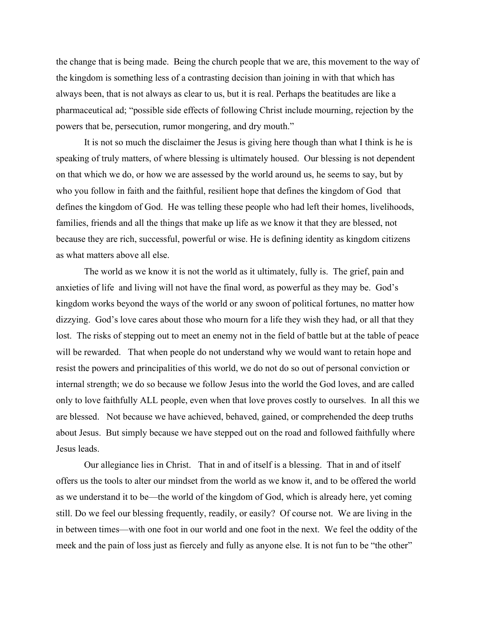the change that is being made. Being the church people that we are, this movement to the way of the kingdom is something less of a contrasting decision than joining in with that which has always been, that is not always as clear to us, but it is real. Perhaps the beatitudes are like a pharmaceutical ad; "possible side effects of following Christ include mourning, rejection by the powers that be, persecution, rumor mongering, and dry mouth."

It is not so much the disclaimer the Jesus is giving here though than what I think is he is speaking of truly matters, of where blessing is ultimately housed. Our blessing is not dependent on that which we do, or how we are assessed by the world around us, he seems to say, but by who you follow in faith and the faithful, resilient hope that defines the kingdom of God that defines the kingdom of God. He was telling these people who had left their homes, livelihoods, families, friends and all the things that make up life as we know it that they are blessed, not because they are rich, successful, powerful or wise. He is defining identity as kingdom citizens as what matters above all else.

The world as we know it is not the world as it ultimately, fully is. The grief, pain and anxieties of life and living will not have the final word, as powerful as they may be. God's kingdom works beyond the ways of the world or any swoon of political fortunes, no matter how dizzying. God's love cares about those who mourn for a life they wish they had, or all that they lost. The risks of stepping out to meet an enemy not in the field of battle but at the table of peace will be rewarded. That when people do not understand why we would want to retain hope and resist the powers and principalities of this world, we do not do so out of personal conviction or internal strength; we do so because we follow Jesus into the world the God loves, and are called only to love faithfully ALL people, even when that love proves costly to ourselves. In all this we are blessed. Not because we have achieved, behaved, gained, or comprehended the deep truths about Jesus. But simply because we have stepped out on the road and followed faithfully where Jesus leads.

Our allegiance lies in Christ. That in and of itself is a blessing. That in and of itself offers us the tools to alter our mindset from the world as we know it, and to be offered the world as we understand it to be—the world of the kingdom of God, which is already here, yet coming still. Do we feel our blessing frequently, readily, or easily? Of course not. We are living in the in between times—with one foot in our world and one foot in the next. We feel the oddity of the meek and the pain of loss just as fiercely and fully as anyone else. It is not fun to be "the other"